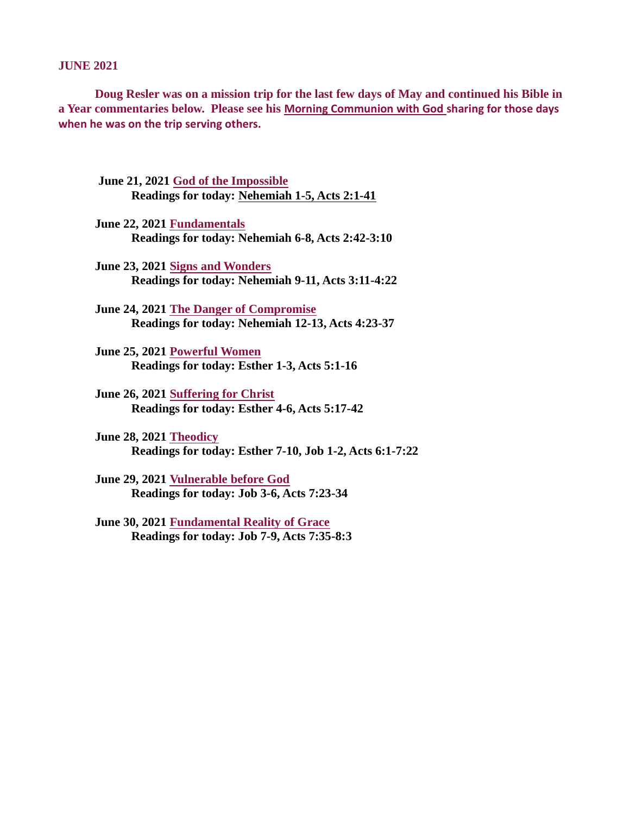JUNE 2021

Doug Resler was on a mission trip for the last few days of May and continued his Bible in a Year commentaries below. Please see his [Morning Communion with God](https://pray4healing.files.wordpress.com/2021/06/morning-communion-with-god-3.pdf) sharing for those days when he was on the trip serving others.

- June 21, 2021 God of the Impossible [Readings for today: Nehemiah 1-5, Acts 2:1-41](#page-1-0)
- June 22, 2021 Fundamentals [Readings for today: Nehemiah 6-8, Acts 2:42-3:10](#page-3-0)
- June 23, 2021 Signs and Wonders [Readings for today: Nehemiah 9-11, Acts 3:11-4:22](#page-5-0)
- June 24, 2021 The Danger of Compromise [Readings for today: Nehemiah 12-13, Acts 4:23-37](#page-6-0)
- June 25, 2021 Powerful Women [Readings for today: Esther 1-3, Acts 5:1-16](#page-7-0)
- June 26, 2021 Suffering for Christ [Readings for today: Esther 4-6, Acts 5:17-42](#page-9-0)
- June 28, 2021 Theodicy [Readings for today: Esther 7-10, Job 1-2, Acts 6:1-7:22](#page-12-0)
- June 29, 2021 Vulnerable before God [Readings for today: Job 3-6, Acts 7:23-34](#page-12-0)
- [June 30, 2021 Fundamental Reality of Grace](#page-14-0) Readings for today: Job 7-9, Acts 7:35-8:3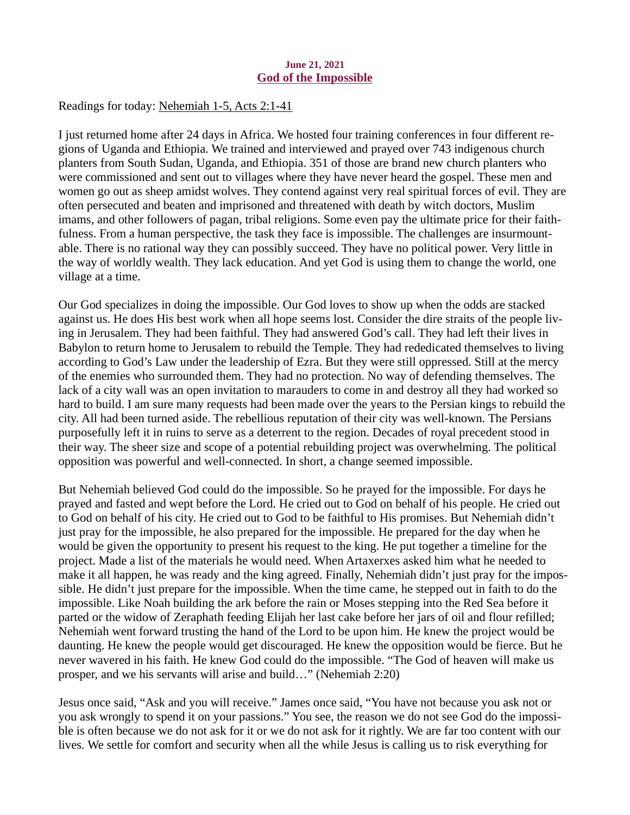### June 21, 2021 God of the Impossible

<span id="page-1-0"></span>Readings for today[: Nehemiah 1-5, Acts 2:1-41](https://www.biblegateway.com/passage/?search=Nehemiah+1-5%2C+Acts+2%3A1-41&version=ESV)

I just returned home after 24 days in Africa. We hosted four training conferences in four different regions of Uganda and Ethiopia. We trained and interviewed and prayed over 743 indigenous church planters from South Sudan, Uganda, and Ethiopia. 351 of those are brand new church planters who were commissioned and sent out to villages where they have never heard the gospel. These men and women go out as sheep amidst wolves. They contend against very real spiritual forces of evil. They are often persecuted and beaten and imprisoned and threatened with death by witch doctors, Muslim imams, and other followers of pagan, tribal religions. Some even pay the ultimate price for their faithfulness. From a human perspective, the task they face is impossible. The challenges are insurmountable. There is no rational way they can possibly succeed. They have no political power. Very little in the way of worldly wealth. They lack education. And yet God is using them to change the world, one village at a time.

Our God specializes in doing the impossible. Our God loves to show up when the odds are stacked against us. He does His best work when all hope seems lost. Consider the dire straits of the people living in Jerusalem. They had been faithful. They had answered God's call. They had left their lives in Babylon to return home to Jerusalem to rebuild the Temple. They had rededicated themselves to living according to God's Law under the leadership of Ezra. But they were still oppressed. Still at the mercy of the enemies who surrounded them. They had no protection. No way of defending themselves. The lack of a city wall was an open invitation to marauders to come in and destroy all they had worked so hard to build. I am sure many requests had been made over the years to the Persian kings to rebuild the city. All had been turned aside. The rebellious reputation of their city was well-known. The Persians purposefully left it in ruins to serve as a deterrent to the region. Decades of royal precedent stood in their way. The sheer size and scope of a potential rebuilding project was overwhelming. The political opposition was powerful and well-connected. In short, a change seemed impossible.

But Nehemiah believed God could do the impossible. So he prayed for the impossible. For days he prayed and fasted and wept before the Lord. He cried out to God on behalf of his people. He cried out to God on behalf of his city. He cried out to God to be faithful to His promises. But Nehemiah didn't just pray for the impossible, he also prepared for the impossible. He prepared for the day when he would be given the opportunity to present his request to the king. He put together a timeline for the project. Made a list of the materials he would need. When Artaxerxes asked him what he needed to make it all happen, he was ready and the king agreed. Finally, Nehemiah didn't just pray for the impossible. He didn't just prepare for the impossible. When the time came, he stepped out in faith to do the impossible. Like Noah building the ark before the rain or Moses stepping into the Red Sea before it parted or the widow of Zeraphath feeding Elijah her last cake before her jars of oil and flour refilled; Nehemiah went forward trusting the hand of the Lord to be upon him. He knew the project would be daunting. He knew the people would get discouraged. He knew the opposition would be fierce. But he never wavered in his faith. He knew God could do the impossible. "The God of heaven will make us prosper, and we his servants will arise and build…" (Nehemiah 2:20)

Jesus once said, "Ask and you will receive." James once said, "You have not because you ask not or you ask wrongly to spend it on your passions." You see, the reason we do not see God do the impossible is often because we do not ask for it or we do not ask for it rightly. We are far too content with our lives. We settle for comfort and security when all the while Jesus is calling us to risk everything for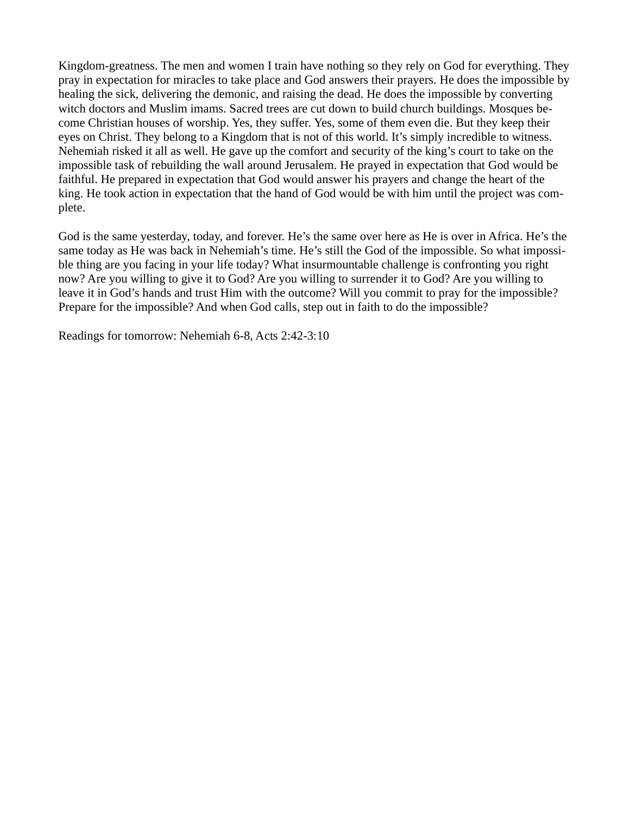Kingdom-greatness. The men and women I train have nothing so they rely on God for everything. They pray in expectation for miracles to take place and God answers their prayers. He does the impossible by healing the sick, delivering the demonic, and raising the dead. He does the impossible by converting witch doctors and Muslim imams. Sacred trees are cut down to build church buildings. Mosques become Christian houses of worship. Yes, they suffer. Yes, some of them even die. But they keep their eyes on Christ. They belong to a Kingdom that is not of this world. It's simply incredible to witness. Nehemiah risked it all as well. He gave up the comfort and security of the king's court to take on the impossible task of rebuilding the wall around Jerusalem. He prayed in expectation that God would be faithful. He prepared in expectation that God would answer his prayers and change the heart of the king. He took action in expectation that the hand of God would be with him until the project was complete.

God is the same yesterday, today, and forever. He's the same over here as He is over in Africa. He's the same today as He was back in Nehemiah's time. He's still the God of the impossible. So what impossible thing are you facing in your life today? What insurmountable challenge is confronting you right now? Are you willing to give it to God? Are you willing to surrender it to God? Are you willing to leave it in God's hands and trust Him with the outcome? Will you commit to pray for the impossible? Prepare for the impossible? And when God calls, step out in faith to do the impossible?

Readings for tomorrow: Nehemiah 6-8, Acts 2:42-3:10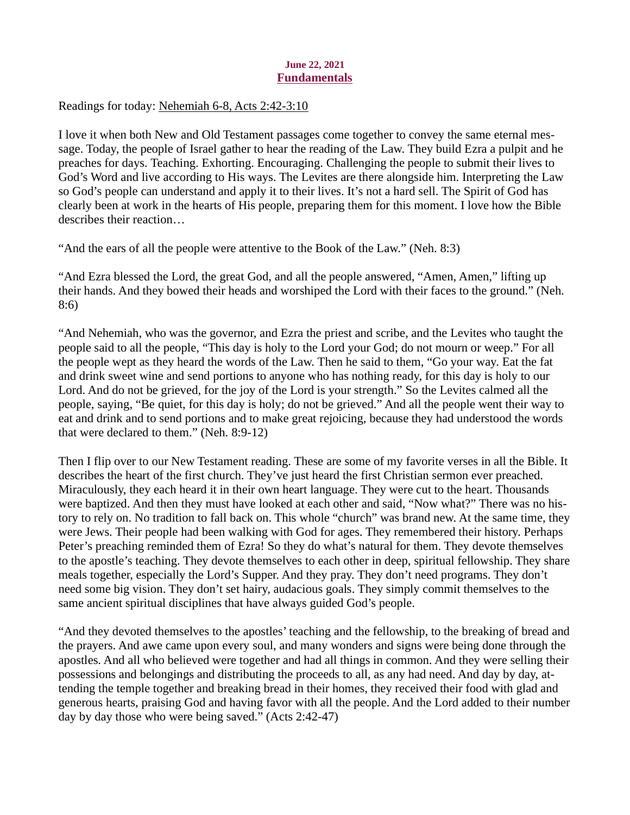## June 22, 2021 Fundamentals

<span id="page-3-0"></span>Readings for today[: Nehemiah 6-8, Acts 2:42-3:10](https://www.biblegateway.com/passage/?search=Nehemiah+6-8%2C+Acts+2%3A42-3%3A10&version=ESV)

I love it when both New and Old Testament passages come together to convey the same eternal message. Today, the people of Israel gather to hear the reading of the Law. They build Ezra a pulpit and he preaches for days. Teaching. Exhorting. Encouraging. Challenging the people to submit their lives to God's Word and live according to His ways. The Levites are there alongside him. Interpreting the Law so God's people can understand and apply it to their lives. It's not a hard sell. The Spirit of God has clearly been at work in the hearts of His people, preparing them for this moment. I love how the Bible describes their reaction…

"And the ears of all the people were attentive to the Book of the Law." (Neh. 8:3)

"And Ezra blessed the Lord, the great God, and all the people answered, "Amen, Amen," lifting up their hands. And they bowed their heads and worshiped the Lord with their faces to the ground." (Neh. 8:6)

"And Nehemiah, who was the governor, and Ezra the priest and scribe, and the Levites who taught the people said to all the people, "This day is holy to the Lord your God; do not mourn or weep." For all the people wept as they heard the words of the Law. Then he said to them, "Go your way. Eat the fat and drink sweet wine and send portions to anyone who has nothing ready, for this day is holy to our Lord. And do not be grieved, for the joy of the Lord is your strength." So the Levites calmed all the people, saying, "Be quiet, for this day is holy; do not be grieved." And all the people went their way to eat and drink and to send portions and to make great rejoicing, because they had understood the words that were declared to them." (Neh. 8:9-12)

Then I flip over to our New Testament reading. These are some of my favorite verses in all the Bible. It describes the heart of the first church. They've just heard the first Christian sermon ever preached. Miraculously, they each heard it in their own heart language. They were cut to the heart. Thousands were baptized. And then they must have looked at each other and said, "Now what?" There was no history to rely on. No tradition to fall back on. This whole "church" was brand new. At the same time, they were Jews. Their people had been walking with God for ages. They remembered their history. Perhaps Peter's preaching reminded them of Ezra! So they do what's natural for them. They devote themselves to the apostle's teaching. They devote themselves to each other in deep, spiritual fellowship. They share meals together, especially the Lord's Supper. And they pray. They don't need programs. They don't need some big vision. They don't set hairy, audacious goals. They simply commit themselves to the same ancient spiritual disciplines that have always guided God's people.

"And they devoted themselves to the apostles' teaching and the fellowship, to the breaking of bread and the prayers. And awe came upon every soul, and many wonders and signs were being done through the apostles. And all who believed were together and had all things in common. And they were selling their possessions and belongings and distributing the proceeds to all, as any had need. And day by day, attending the temple together and breaking bread in their homes, they received their food with glad and generous hearts, praising God and having favor with all the people. And the Lord added to their number day by day those who were being saved." (Acts 2:42-47)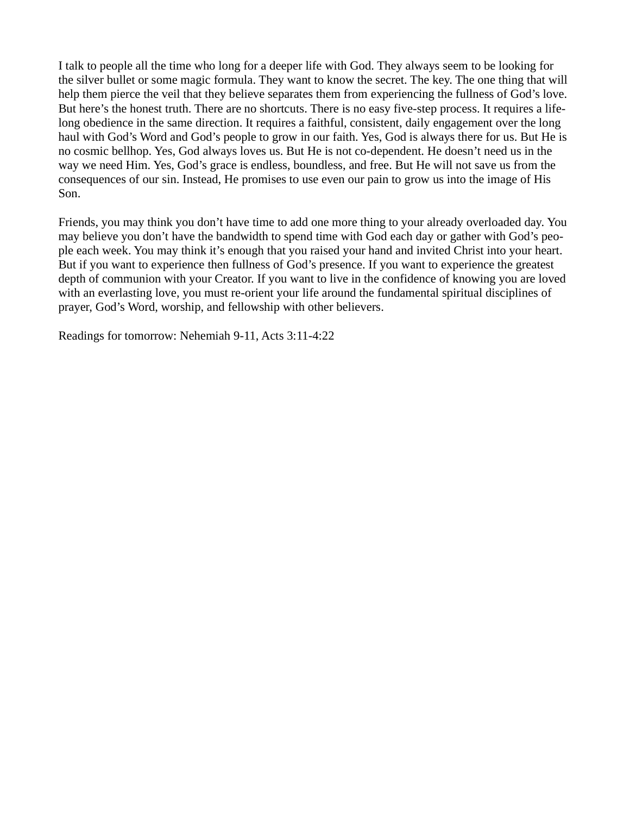I talk to people all the time who long for a deeper life with God. They always seem to be looking for the silver bullet or some magic formula. They want to know the secret. The key. The one thing that will help them pierce the veil that they believe separates them from experiencing the fullness of God's love. But here's the honest truth. There are no shortcuts. There is no easy five-step process. It requires a lifelong obedience in the same direction. It requires a faithful, consistent, daily engagement over the long haul with God's Word and God's people to grow in our faith. Yes, God is always there for us. But He is no cosmic bellhop. Yes, God always loves us. But He is not co-dependent. He doesn't need us in the way we need Him. Yes, God's grace is endless, boundless, and free. But He will not save us from the consequences of our sin. Instead, He promises to use even our pain to grow us into the image of His Son.

Friends, you may think you don't have time to add one more thing to your already overloaded day. You may believe you don't have the bandwidth to spend time with God each day or gather with God's people each week. You may think it's enough that you raised your hand and invited Christ into your heart. But if you want to experience then fullness of God's presence. If you want to experience the greatest depth of communion with your Creator. If you want to live in the confidence of knowing you are loved with an everlasting love, you must re-orient your life around the fundamental spiritual disciplines of prayer, God's Word, worship, and fellowship with other believers.

Readings for tomorrow: Nehemiah 9-11, Acts 3:11-4:22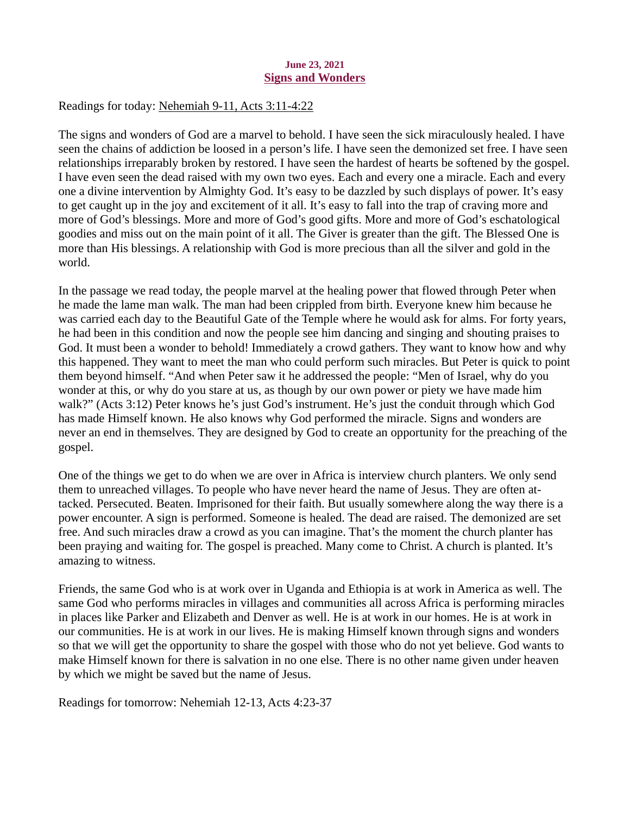### June 23, 2021 Signs and Wonders

## <span id="page-5-0"></span>Readings for today: [Nehemiah 9-11, Acts 3:11-4:22](https://www.biblegateway.com/passage/?search=Nehemiah+9-11%2C+Acts+3%3A11-4%3A22&version=ESV)

The signs and wonders of God are a marvel to behold. I have seen the sick miraculously healed. I have seen the chains of addiction be loosed in a person's life. I have seen the demonized set free. I have seen relationships irreparably broken by restored. I have seen the hardest of hearts be softened by the gospel. I have even seen the dead raised with my own two eyes. Each and every one a miracle. Each and every one a divine intervention by Almighty God. It's easy to be dazzled by such displays of power. It's easy to get caught up in the joy and excitement of it all. It's easy to fall into the trap of craving more and more of God's blessings. More and more of God's good gifts. More and more of God's eschatological goodies and miss out on the main point of it all. The Giver is greater than the gift. The Blessed One is more than His blessings. A relationship with God is more precious than all the silver and gold in the world.

In the passage we read today, the people marvel at the healing power that flowed through Peter when he made the lame man walk. The man had been crippled from birth. Everyone knew him because he was carried each day to the Beautiful Gate of the Temple where he would ask for alms. For forty years, he had been in this condition and now the people see him dancing and singing and shouting praises to God. It must been a wonder to behold! Immediately a crowd gathers. They want to know how and why this happened. They want to meet the man who could perform such miracles. But Peter is quick to point them beyond himself. "And when Peter saw it he addressed the people: "Men of Israel, why do you wonder at this, or why do you stare at us, as though by our own power or piety we have made him walk?" (Acts 3:12) Peter knows he's just God's instrument. He's just the conduit through which God has made Himself known. He also knows why God performed the miracle. Signs and wonders are never an end in themselves. They are designed by God to create an opportunity for the preaching of the gospel.

One of the things we get to do when we are over in Africa is interview church planters. We only send them to unreached villages. To people who have never heard the name of Jesus. They are often attacked. Persecuted. Beaten. Imprisoned for their faith. But usually somewhere along the way there is a power encounter. A sign is performed. Someone is healed. The dead are raised. The demonized are set free. And such miracles draw a crowd as you can imagine. That's the moment the church planter has been praying and waiting for. The gospel is preached. Many come to Christ. A church is planted. It's amazing to witness.

Friends, the same God who is at work over in Uganda and Ethiopia is at work in America as well. The same God who performs miracles in villages and communities all across Africa is performing miracles in places like Parker and Elizabeth and Denver as well. He is at work in our homes. He is at work in our communities. He is at work in our lives. He is making Himself known through signs and wonders so that we will get the opportunity to share the gospel with those who do not yet believe. God wants to make Himself known for there is salvation in no one else. There is no other name given under heaven by which we might be saved but the name of Jesus.

Readings for tomorrow: Nehemiah 12-13, Acts 4:23-37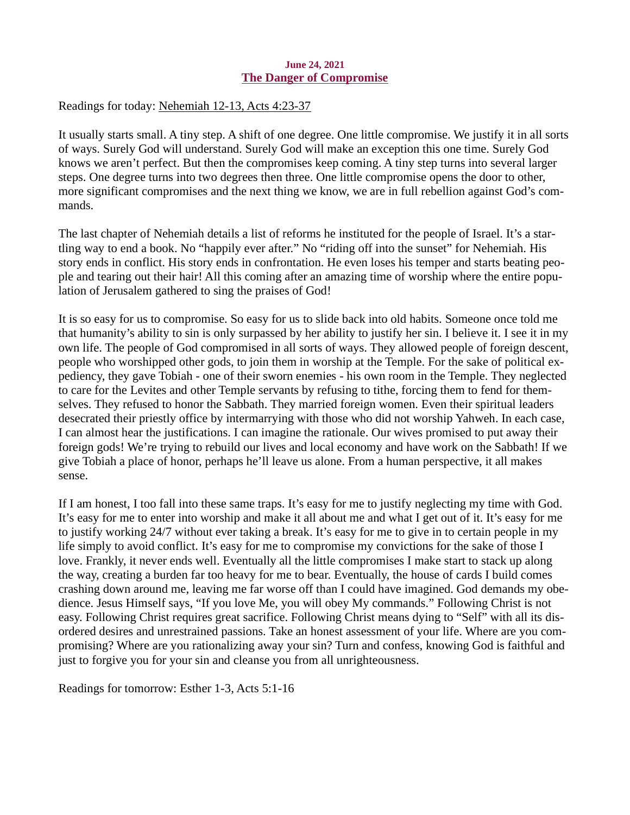### June 24, 2021 The Danger of Compromise

## <span id="page-6-0"></span>Readings for today: [Nehemiah 12-13, Acts 4:23-37](https://www.biblegateway.com/passage/?search=Nehemiah+12-13%2C+Acts+4%3A23-37&version=ESV)

It usually starts small. A tiny step. A shift of one degree. One little compromise. We justify it in all sorts of ways. Surely God will understand. Surely God will make an exception this one time. Surely God knows we aren't perfect. But then the compromises keep coming. A tiny step turns into several larger steps. One degree turns into two degrees then three. One little compromise opens the door to other, more significant compromises and the next thing we know, we are in full rebellion against God's commands.

The last chapter of Nehemiah details a list of reforms he instituted for the people of Israel. It's a startling way to end a book. No "happily ever after." No "riding off into the sunset" for Nehemiah. His story ends in conflict. His story ends in confrontation. He even loses his temper and starts beating people and tearing out their hair! All this coming after an amazing time of worship where the entire population of Jerusalem gathered to sing the praises of God!

It is so easy for us to compromise. So easy for us to slide back into old habits. Someone once told me that humanity's ability to sin is only surpassed by her ability to justify her sin. I believe it. I see it in my own life. The people of God compromised in all sorts of ways. They allowed people of foreign descent, people who worshipped other gods, to join them in worship at the Temple. For the sake of political expediency, they gave Tobiah - one of their sworn enemies - his own room in the Temple. They neglected to care for the Levites and other Temple servants by refusing to tithe, forcing them to fend for themselves. They refused to honor the Sabbath. They married foreign women. Even their spiritual leaders desecrated their priestly office by intermarrying with those who did not worship Yahweh. In each case, I can almost hear the justifications. I can imagine the rationale. Our wives promised to put away their foreign gods! We're trying to rebuild our lives and local economy and have work on the Sabbath! If we give Tobiah a place of honor, perhaps he'll leave us alone. From a human perspective, it all makes sense.

If I am honest, I too fall into these same traps. It's easy for me to justify neglecting my time with God. It's easy for me to enter into worship and make it all about me and what I get out of it. It's easy for me to justify working 24/7 without ever taking a break. It's easy for me to give in to certain people in my life simply to avoid conflict. It's easy for me to compromise my convictions for the sake of those I love. Frankly, it never ends well. Eventually all the little compromises I make start to stack up along the way, creating a burden far too heavy for me to bear. Eventually, the house of cards I build comes crashing down around me, leaving me far worse off than I could have imagined. God demands my obedience. Jesus Himself says, "If you love Me, you will obey My commands." Following Christ is not easy. Following Christ requires great sacrifice. Following Christ means dying to "Self" with all its disordered desires and unrestrained passions. Take an honest assessment of your life. Where are you compromising? Where are you rationalizing away your sin? Turn and confess, knowing God is faithful and just to forgive you for your sin and cleanse you from all unrighteousness.

Readings for tomorrow: Esther 1-3, Acts 5:1-16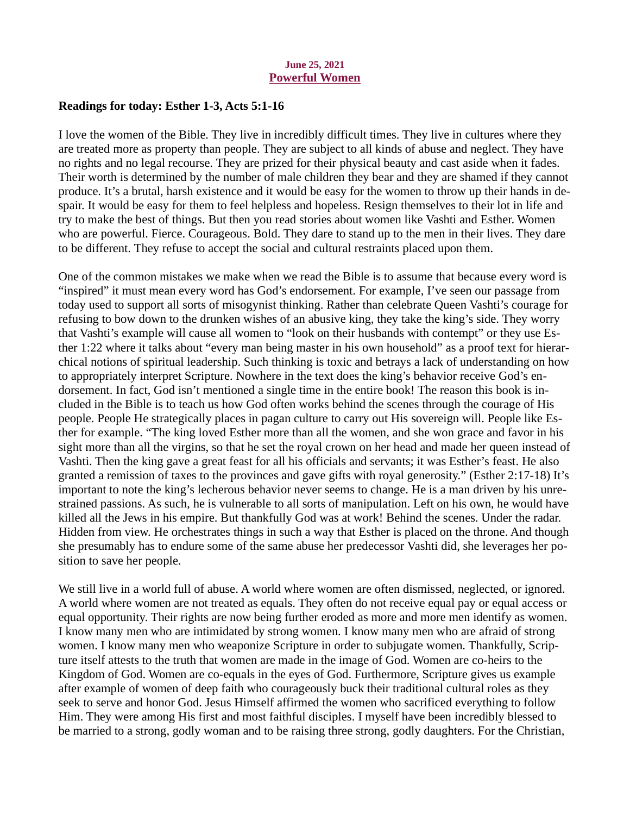### June 25, 2021 Powerful Women

## <span id="page-7-0"></span>Readings for today: [Esther 1-3, Acts 5:1-16](https://www.biblegateway.com/passage/?search=Esther+1-3%2C+Acts+5%3A1-16&version=ESV)

I love the women of the Bible. They live in incredibly difficult times. They live in cultures where they are treated more as property than people. They are subject to all kinds of abuse and neglect. They have no rights and no legal recourse. They are prized for their physical beauty and cast aside when it fades. Their worth is determined by the number of male children they bear and they are shamed if they cannot produce. It's a brutal, harsh existence and it would be easy for the women to throw up their hands in despair. It would be easy for them to feel helpless and hopeless. Resign themselves to their lot in life and try to make the best of things. But then you read stories about women like Vashti and Esther. Women who are powerful. Fierce. Courageous. Bold. They dare to stand up to the men in their lives. They dare to be different. They refuse to accept the social and cultural restraints placed upon them.

One of the common mistakes we make when we read the Bible is to assume that because every word is "inspired" it must mean every word has God's endorsement. For example, I've seen our passage from today used to support all sorts of misogynist thinking. Rather than celebrate Queen Vashti's courage for refusing to bow down to the drunken wishes of an abusive king, they take the king's side. They worry that Vashti's example will cause all women to "look on their husbands with contempt" or they use Esther 1:22 where it talks about "every man being master in his own household" as a proof text for hierarchical notions of spiritual leadership. Such thinking is toxic and betrays a lack of understanding on how to appropriately interpret Scripture. Nowhere in the text does the king's behavior receive God's endorsement. In fact, God isn't mentioned a single time in the entire book! The reason this book is included in the Bible is to teach us how God often works behind the scenes through the courage of His people. People He strategically places in pagan culture to carry out His sovereign will. People like Esther for example. "The king loved Esther more than all the women, and she won grace and favor in his sight more than all the virgins, so that he set the royal crown on her head and made her queen instead of Vashti. Then the king gave a great feast for all his officials and servants; it was Esther's feast. He also granted a remission of taxes to the provinces and gave gifts with royal generosity." (Esther 2:17-18) It's important to note the king's lecherous behavior never seems to change. He is a man driven by his unrestrained passions. As such, he is vulnerable to all sorts of manipulation. Left on his own, he would have killed all the Jews in his empire. But thankfully God was at work! Behind the scenes. Under the radar. Hidden from view. He orchestrates things in such a way that Esther is placed on the throne. And though she presumably has to endure some of the same abuse her predecessor Vashti did, she leverages her position to save her people.

We still live in a world full of abuse. A world where women are often dismissed, neglected, or ignored. A world where women are not treated as equals. They often do not receive equal pay or equal access or equal opportunity. Their rights are now being further eroded as more and more men identify as women. I know many men who are intimidated by strong women. I know many men who are afraid of strong women. I know many men who weaponize Scripture in order to subjugate women. Thankfully, Scripture itself attests to the truth that women are made in the image of God. Women are co-heirs to the Kingdom of God. Women are co-equals in the eyes of God. Furthermore, Scripture gives us example after example of women of deep faith who courageously buck their traditional cultural roles as they seek to serve and honor God. Jesus Himself affirmed the women who sacrificed everything to follow Him. They were among His first and most faithful disciples. I myself have been incredibly blessed to be married to a strong, godly woman and to be raising three strong, godly daughters. For the Christian,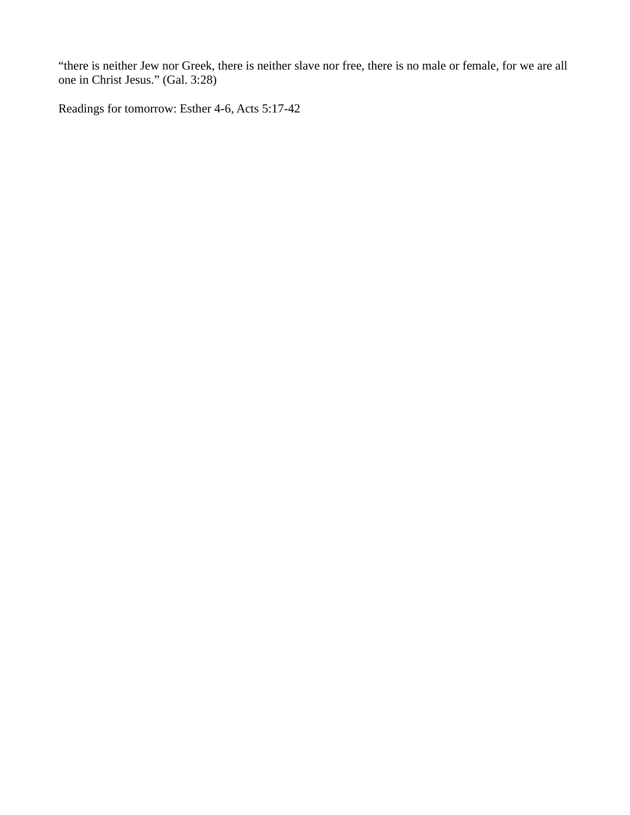"there is neither Jew nor Greek, there is neither slave nor free, there is no male or female, for we are all one in Christ Jesus." (Gal. 3:28)

Readings for tomorrow: Esther 4-6, Acts 5:17-42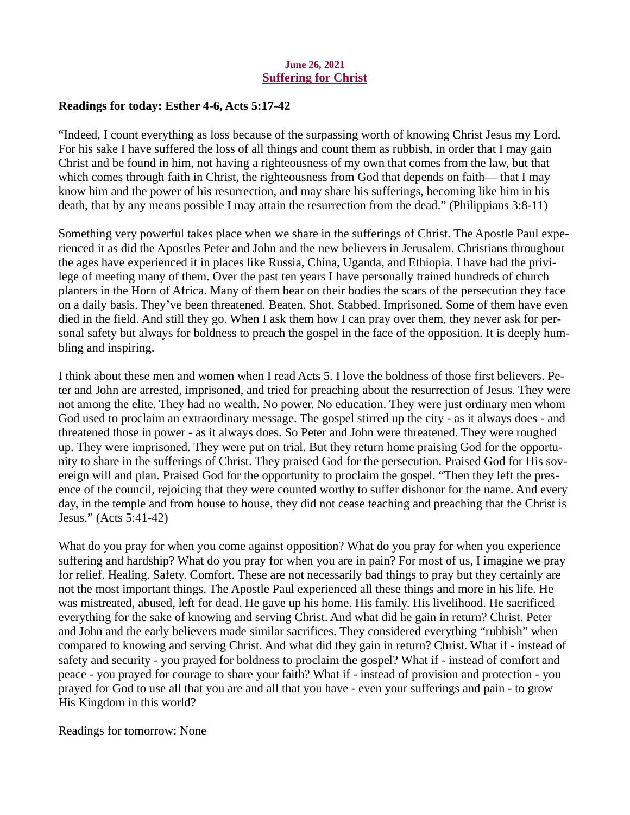### June 26, 2021 Suffering for Christ

## <span id="page-9-0"></span>Readings for today: [Esther 4-6, Acts 5:17-42](https://www.biblegateway.com/passage/?search=Esther+4-6%2C+Acts+5%3A17-42&version=ESV)

"Indeed, I count everything as loss because of the surpassing worth of knowing Christ Jesus my Lord. For his sake I have suffered the loss of all things and count them as rubbish, in order that I may gain Christ and be found in him, not having a righteousness of my own that comes from the law, but that which comes through faith in Christ, the righteousness from God that depends on faith— that I may know him and the power of his resurrection, and may share his sufferings, becoming like him in his death, that by any means possible I may attain the resurrection from the dead." (Philippians 3:8-11)

Something very powerful takes place when we share in the sufferings of Christ. The Apostle Paul experienced it as did the Apostles Peter and John and the new believers in Jerusalem. Christians throughout the ages have experienced it in places like Russia, China, Uganda, and Ethiopia. I have had the privilege of meeting many of them. Over the past ten years I have personally trained hundreds of church planters in the Horn of Africa. Many of them bear on their bodies the scars of the persecution they face on a daily basis. They've been threatened. Beaten. Shot. Stabbed. Imprisoned. Some of them have even died in the field. And still they go. When I ask them how I can pray over them, they never ask for personal safety but always for boldness to preach the gospel in the face of the opposition. It is deeply humbling and inspiring.

I think about these men and women when I read Acts 5. I love the boldness of those first believers. Peter and John are arrested, imprisoned, and tried for preaching about the resurrection of Jesus. They were not among the elite. They had no wealth. No power. No education. They were just ordinary men whom God used to proclaim an extraordinary message. The gospel stirred up the city - as it always does - and threatened those in power - as it always does. So Peter and John were threatened. They were roughed up. They were imprisoned. They were put on trial. But they return home praising God for the opportunity to share in the sufferings of Christ. They praised God for the persecution. Praised God for His sovereign will and plan. Praised God for the opportunity to proclaim the gospel. "Then they left the presence of the council, rejoicing that they were counted worthy to suffer dishonor for the name. And every day, in the temple and from house to house, they did not cease teaching and preaching that the Christ is Jesus." (Acts 5:41-42)

What do you pray for when you come against opposition? What do you pray for when you experience suffering and hardship? What do you pray for when you are in pain? For most of us, I imagine we pray for relief. Healing. Safety. Comfort. These are not necessarily bad things to pray but they certainly are not the most important things. The Apostle Paul experienced all these things and more in his life. He was mistreated, abused, left for dead. He gave up his home. His family. His livelihood. He sacrificed everything for the sake of knowing and serving Christ. And what did he gain in return? Christ. Peter and John and the early believers made similar sacrifices. They considered everything "rubbish" when compared to knowing and serving Christ. And what did they gain in return? Christ. What if - instead of safety and security - you prayed for boldness to proclaim the gospel? What if - instead of comfort and peace - you prayed for courage to share your faith? What if - instead of provision and protection - you prayed for God to use all that you are and all that you have - even your sufferings and pain - to grow His Kingdom in this world?

Readings for tomorrow: None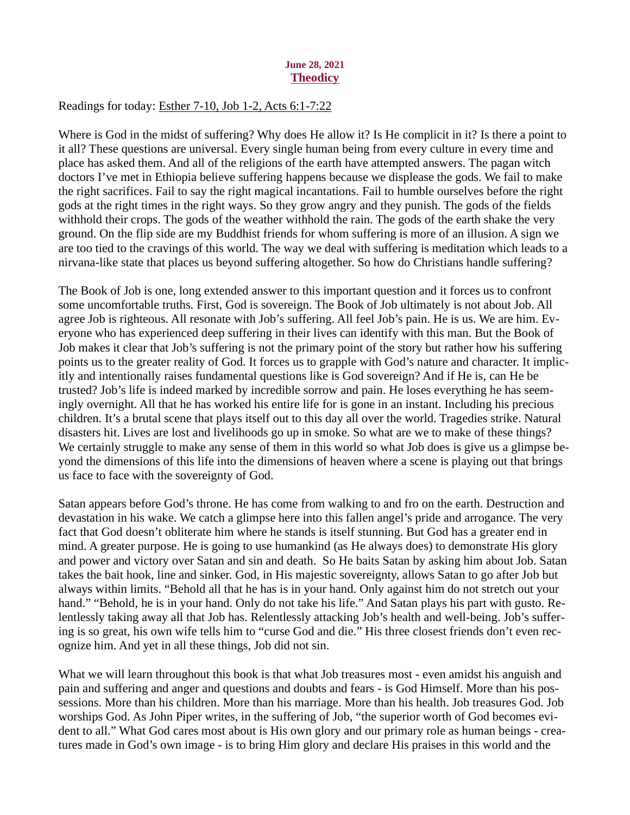## June 28, 2021 **Theodicy**

# Readings for today: [Esther 7-10, Job 1-2, Acts 6:1-7:22](https://www.biblegateway.com/passage/?search=Esther+7-10%2C+Job+1-2%2C+Acts+6%3A1-7%3A22&version=ESV)

Where is God in the midst of suffering? Why does He allow it? Is He complicit in it? Is there a point to it all? These questions are universal. Every single human being from every culture in every time and place has asked them. And all of the religions of the earth have attempted answers. The pagan witch doctors I've met in Ethiopia believe suffering happens because we displease the gods. We fail to make the right sacrifices. Fail to say the right magical incantations. Fail to humble ourselves before the right gods at the right times in the right ways. So they grow angry and they punish. The gods of the fields withhold their crops. The gods of the weather withhold the rain. The gods of the earth shake the very ground. On the flip side are my Buddhist friends for whom suffering is more of an illusion. A sign we are too tied to the cravings of this world. The way we deal with suffering is meditation which leads to a nirvana-like state that places us beyond suffering altogether. So how do Christians handle suffering?

The Book of Job is one, long extended answer to this important question and it forces us to confront some uncomfortable truths. First, God is sovereign. The Book of Job ultimately is not about Job. All agree Job is righteous. All resonate with Job's suffering. All feel Job's pain. He is us. We are him. Everyone who has experienced deep suffering in their lives can identify with this man. But the Book of Job makes it clear that Job's suffering is not the primary point of the story but rather how his suffering points us to the greater reality of God. It forces us to grapple with God's nature and character. It implicitly and intentionally raises fundamental questions like is God sovereign? And if He is, can He be trusted? Job's life is indeed marked by incredible sorrow and pain. He loses everything he has seemingly overnight. All that he has worked his entire life for is gone in an instant. Including his precious children. It's a brutal scene that plays itself out to this day all over the world. Tragedies strike. Natural disasters hit. Lives are lost and livelihoods go up in smoke. So what are we to make of these things? We certainly struggle to make any sense of them in this world so what Job does is give us a glimpse beyond the dimensions of this life into the dimensions of heaven where a scene is playing out that brings us face to face with the sovereignty of God.

Satan appears before God's throne. He has come from walking to and fro on the earth. Destruction and devastation in his wake. We catch a glimpse here into this fallen angel's pride and arrogance. The very fact that God doesn't obliterate him where he stands is itself stunning. But God has a greater end in mind. A greater purpose. He is going to use humankind (as He always does) to demonstrate His glory and power and victory over Satan and sin and death. So He baits Satan by asking him about Job. Satan takes the bait hook, line and sinker. God, in His majestic sovereignty, allows Satan to go after Job but always within limits. "Behold all that he has is in your hand. Only against him do not stretch out your hand." "Behold, he is in your hand. Only do not take his life." And Satan plays his part with gusto. Relentlessly taking away all that Job has. Relentlessly attacking Job's health and well-being. Job's suffering is so great, his own wife tells him to "curse God and die." His three closest friends don't even recognize him. And yet in all these things, Job did not sin.

What we will learn throughout this book is that what Job treasures most - even amidst his anguish and pain and suffering and anger and questions and doubts and fears - is God Himself. More than his possessions. More than his children. More than his marriage. More than his health. Job treasures God. Job worships God. As John Piper writes, in the suffering of Job, "the superior worth of God becomes evident to all." What God cares most about is His own glory and our primary role as human beings - creatures made in God's own image - is to bring Him glory and declare His praises in this world and the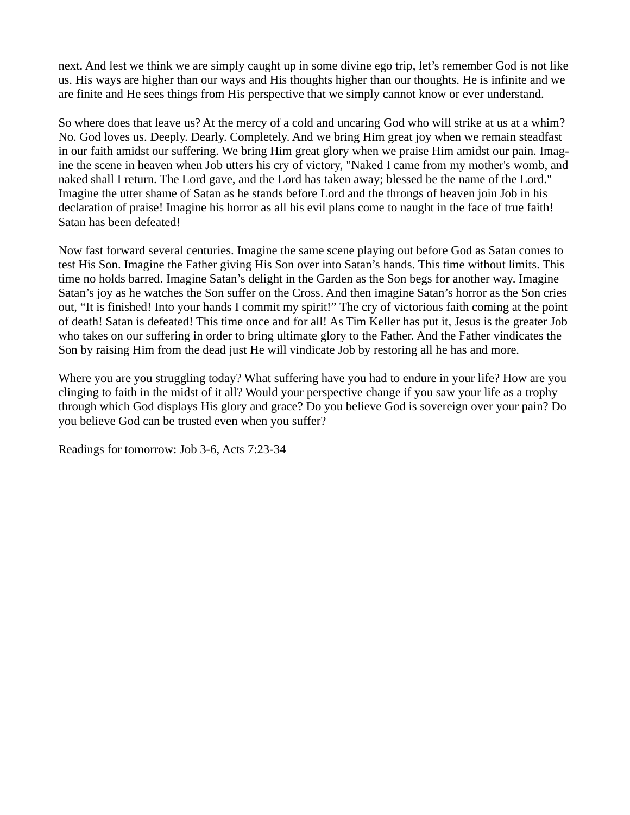next. And lest we think we are simply caught up in some divine ego trip, let's remember God is not like us. His ways are higher than our ways and His thoughts higher than our thoughts. He is infinite and we are finite and He sees things from His perspective that we simply cannot know or ever understand.

So where does that leave us? At the mercy of a cold and uncaring God who will strike at us at a whim? No. God loves us. Deeply. Dearly. Completely. And we bring Him great joy when we remain steadfast in our faith amidst our suffering. We bring Him great glory when we praise Him amidst our pain. Imagine the scene in heaven when Job utters his cry of victory, "Naked I came from my mother's womb, and naked shall I return. The Lord gave, and the Lord has taken away; blessed be the name of the Lord." Imagine the utter shame of Satan as he stands before Lord and the throngs of heaven join Job in his declaration of praise! Imagine his horror as all his evil plans come to naught in the face of true faith! Satan has been defeated!

Now fast forward several centuries. Imagine the same scene playing out before God as Satan comes to test His Son. Imagine the Father giving His Son over into Satan's hands. This time without limits. This time no holds barred. Imagine Satan's delight in the Garden as the Son begs for another way. Imagine Satan's joy as he watches the Son suffer on the Cross. And then imagine Satan's horror as the Son cries out, "It is finished! Into your hands I commit my spirit!" The cry of victorious faith coming at the point of death! Satan is defeated! This time once and for all! As Tim Keller has put it, Jesus is the greater Job who takes on our suffering in order to bring ultimate glory to the Father. And the Father vindicates the Son by raising Him from the dead just He will vindicate Job by restoring all he has and more.

Where you are you struggling today? What suffering have you had to endure in your life? How are you clinging to faith in the midst of it all? Would your perspective change if you saw your life as a trophy through which God displays His glory and grace? Do you believe God is sovereign over your pain? Do you believe God can be trusted even when you suffer?

Readings for tomorrow: Job 3-6, Acts 7:23-34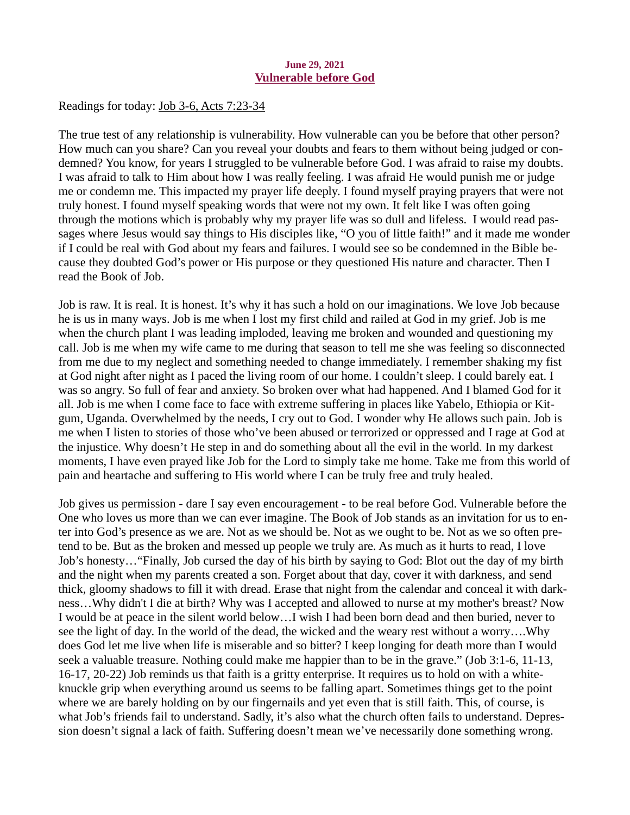### June 29, 2021 Vulnerable before God

<span id="page-12-0"></span>Readings for today[: Job 3-6, Acts 7:23-34](https://www.biblegateway.com/passage/?search=Job+3-6%2C+Acts+7%3A23-34&version=ESV)

The true test of any relationship is vulnerability. How vulnerable can you be before that other person? How much can you share? Can you reveal your doubts and fears to them without being judged or condemned? You know, for years I struggled to be vulnerable before God. I was afraid to raise my doubts. I was afraid to talk to Him about how I was really feeling. I was afraid He would punish me or judge me or condemn me. This impacted my prayer life deeply. I found myself praying prayers that were not truly honest. I found myself speaking words that were not my own. It felt like I was often going through the motions which is probably why my prayer life was so dull and lifeless. I would read passages where Jesus would say things to His disciples like, "O you of little faith!" and it made me wonder if I could be real with God about my fears and failures. I would see so be condemned in the Bible because they doubted God's power or His purpose or they questioned His nature and character. Then I read the Book of Job.

Job is raw. It is real. It is honest. It's why it has such a hold on our imaginations. We love Job because he is us in many ways. Job is me when I lost my first child and railed at God in my grief. Job is me when the church plant I was leading imploded, leaving me broken and wounded and questioning my call. Job is me when my wife came to me during that season to tell me she was feeling so disconnected from me due to my neglect and something needed to change immediately. I remember shaking my fist at God night after night as I paced the living room of our home. I couldn't sleep. I could barely eat. I was so angry. So full of fear and anxiety. So broken over what had happened. And I blamed God for it all. Job is me when I come face to face with extreme suffering in places like Yabelo, Ethiopia or Kitgum, Uganda. Overwhelmed by the needs, I cry out to God. I wonder why He allows such pain. Job is me when I listen to stories of those who've been abused or terrorized or oppressed and I rage at God at the injustice. Why doesn't He step in and do something about all the evil in the world. In my darkest moments, I have even prayed like Job for the Lord to simply take me home. Take me from this world of pain and heartache and suffering to His world where I can be truly free and truly healed.

Job gives us permission - dare I say even encouragement - to be real before God. Vulnerable before the One who loves us more than we can ever imagine. The Book of Job stands as an invitation for us to enter into God's presence as we are. Not as we should be. Not as we ought to be. Not as we so often pretend to be. But as the broken and messed up people we truly are. As much as it hurts to read, I love Job's honesty…"Finally, Job cursed the day of his birth by saying to God: Blot out the day of my birth and the night when my parents created a son. Forget about that day, cover it with darkness, and send thick, gloomy shadows to fill it with dread. Erase that night from the calendar and conceal it with darkness…Why didn't I die at birth? Why was I accepted and allowed to nurse at my mother's breast? Now I would be at peace in the silent world below…I wish I had been born dead and then buried, never to see the light of day. In the world of the dead, the wicked and the weary rest without a worry….Why does God let me live when life is miserable and so bitter? I keep longing for death more than I would seek a valuable treasure. Nothing could make me happier than to be in the grave." (Job 3:1-6, 11-13, 16-17, 20-22) Job reminds us that faith is a gritty enterprise. It requires us to hold on with a whiteknuckle grip when everything around us seems to be falling apart. Sometimes things get to the point where we are barely holding on by our fingernails and yet even that is still faith. This, of course, is what Job's friends fail to understand. Sadly, it's also what the church often fails to understand. Depression doesn't signal a lack of faith. Suffering doesn't mean we've necessarily done something wrong.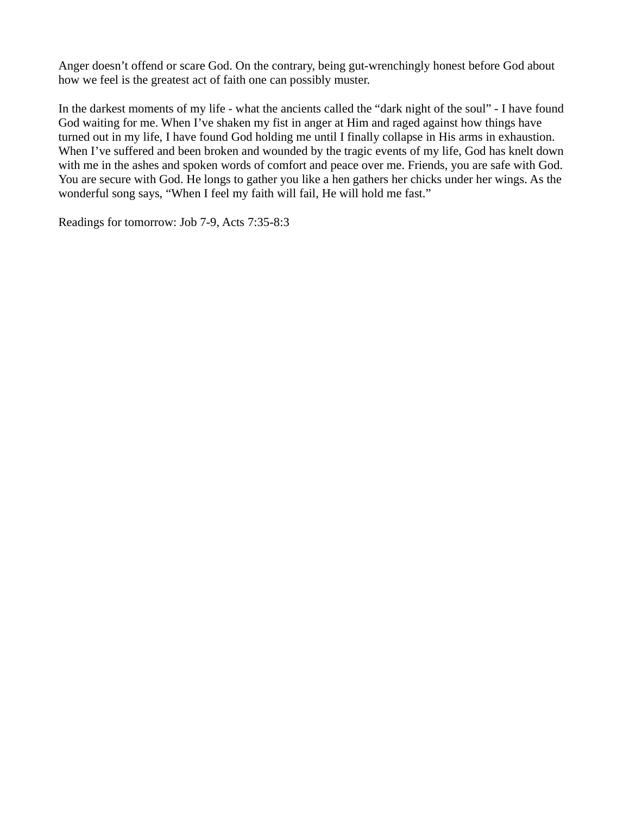Anger doesn't offend or scare God. On the contrary, being gut-wrenchingly honest before God about how we feel is the greatest act of faith one can possibly muster.

In the darkest moments of my life - what the ancients called the "dark night of the soul" - I have found God waiting for me. When I've shaken my fist in anger at Him and raged against how things have turned out in my life, I have found God holding me until I finally collapse in His arms in exhaustion. When I've suffered and been broken and wounded by the tragic events of my life, God has knelt down with me in the ashes and spoken words of comfort and peace over me. Friends, you are safe with God. You are secure with God. He longs to gather you like a hen gathers her chicks under her wings. As the wonderful song says, "When I feel my faith will fail, He will hold me fast."

Readings for tomorrow: Job 7-9, Acts 7:35-8:3